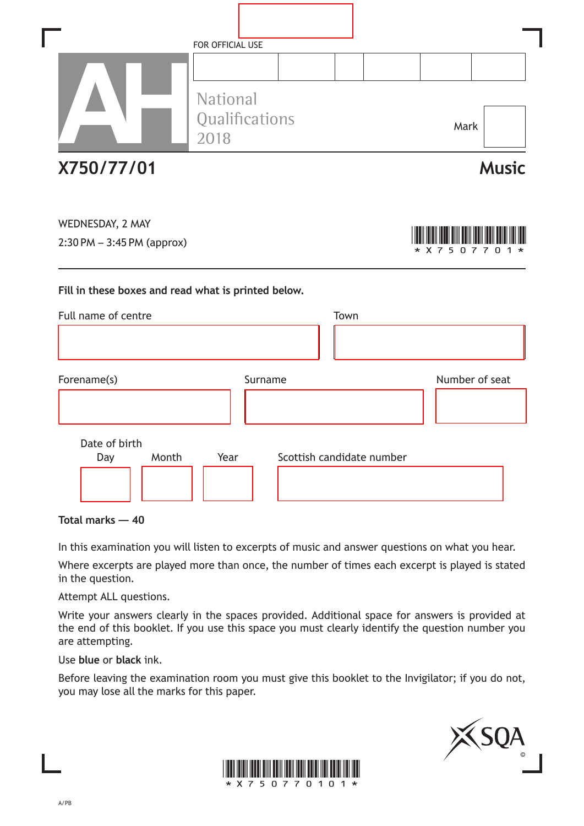|                                                                                           | FOR OFFICIAL USE                   |                           |      |   |                        |                      |
|-------------------------------------------------------------------------------------------|------------------------------------|---------------------------|------|---|------------------------|----------------------|
|                                                                                           | National<br>Qualifications<br>2018 |                           |      |   | Mark                   |                      |
| X750/77/01                                                                                |                                    |                           |      |   |                        | <b>Music</b>         |
| WEDNESDAY, 2 MAY<br>2:30 PM - 3:45 PM (approx)                                            |                                    |                           |      | * | <b>X</b> 7<br>-5<br>n. | <u>ິ</u> ດ<br>7<br>7 |
|                                                                                           |                                    |                           |      |   |                        |                      |
|                                                                                           |                                    |                           |      |   |                        |                      |
|                                                                                           |                                    |                           | Town |   |                        |                      |
|                                                                                           |                                    | Surname                   |      |   |                        | Number of seat       |
| Fill in these boxes and read what is printed below.<br>Full name of centre<br>Forename(s) |                                    |                           |      |   |                        |                      |
| Date of birth<br>Month<br>Day                                                             | Year                               | Scottish candidate number |      |   |                        |                      |

**Total marks — 40**

In this examination you will listen to excerpts of music and answer questions on what you hear.

Where excerpts are played more than once, the number of times each excerpt is played is stated in the question.

Attempt ALL questions.

Write your answers clearly in the spaces provided. Additional space for answers is provided at the end of this booklet. If you use this space you must clearly identify the question number you are attempting.

Use **blue** or **black** ink.

Before leaving the examination room you must give this booklet to the Invigilator; if you do not, you may lose all the marks for this paper.



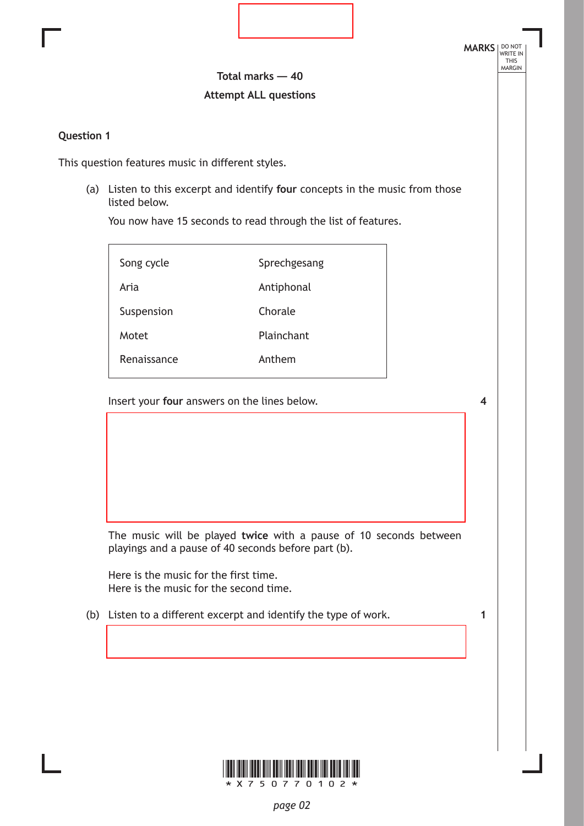**Total marks — 40 Attempt ALL questions**

### **Question 1**

This question features music in different styles.

(a) Listen to this excerpt and identify **four** concepts in the music from those listed below.

You now have 15 seconds to read through the list of features.

| Song cycle  | Sprechgesang |
|-------------|--------------|
| Aria        | Antiphonal   |
| Suspension  | Chorale      |
| Motet       | Plainchant   |
| Renaissance | Anthem       |

Insert your **four** answers on the lines below.

**4**

**MARKS** NO NOT

THIS<br>MARGIN

The music will be played **twice** with a pause of 10 seconds between playings and a pause of 40 seconds before part (b).

Here is the music for the first time. Here is the music for the second time.

(b) Listen to a different excerpt and identify the type of work.

**1**

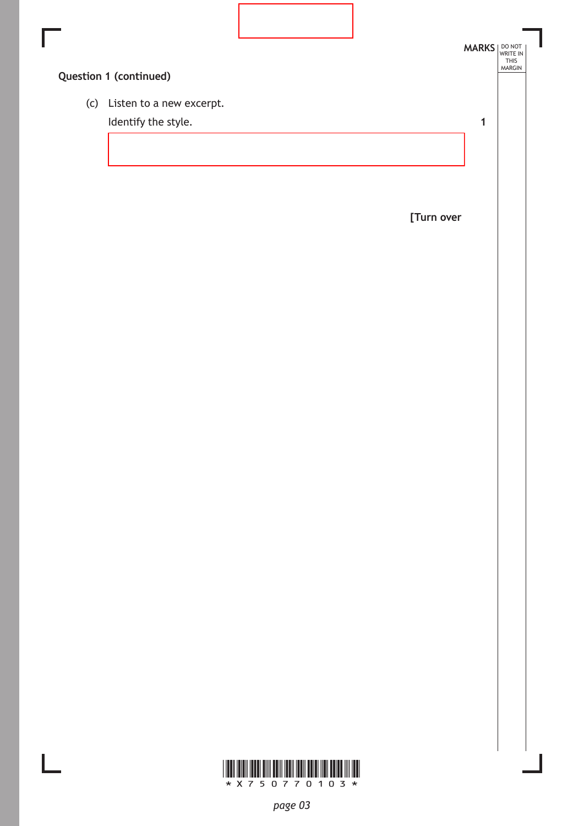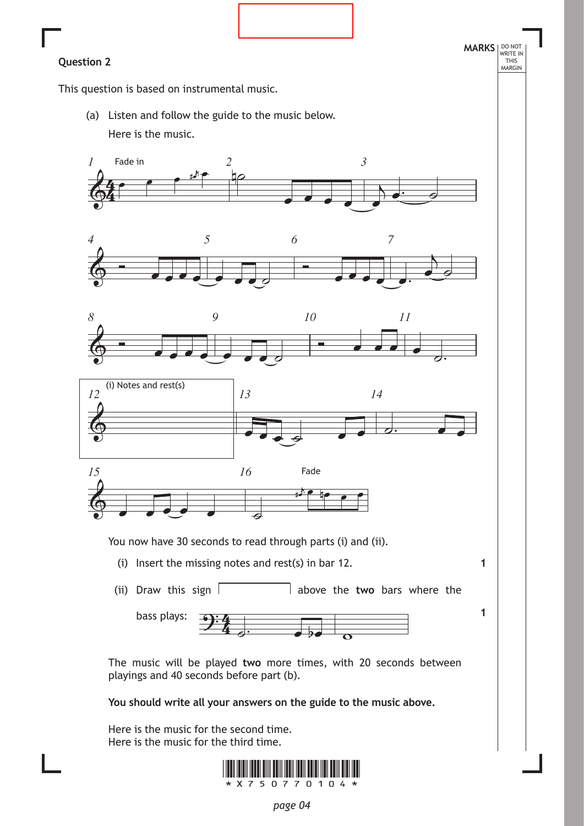**1**

**1**

This question is based on instrumental music.

(a) Listen and follow the guide to the music below. Here is the music.











You now have 30 seconds to read through parts (i) and (ii).

- (i) Insert the missing notes and rest(s) in bar 12.
- (ii) Draw this sign  $\vert$  above the **two** bars where the



The music will be played **two** more times, with 20 seconds between playings and 40 seconds before part (b).

**You should write all your answers on the guide to the music above.**

Here is the music for the second time. Here is the music for the third time.

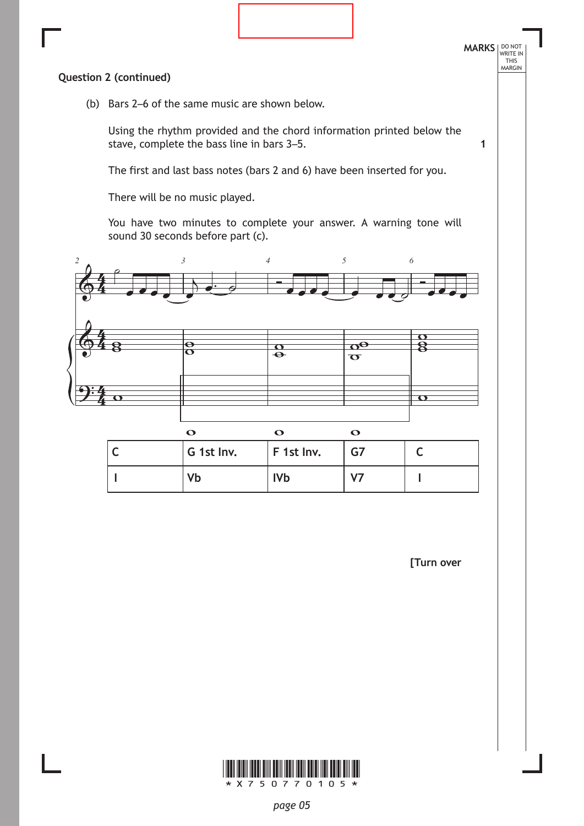

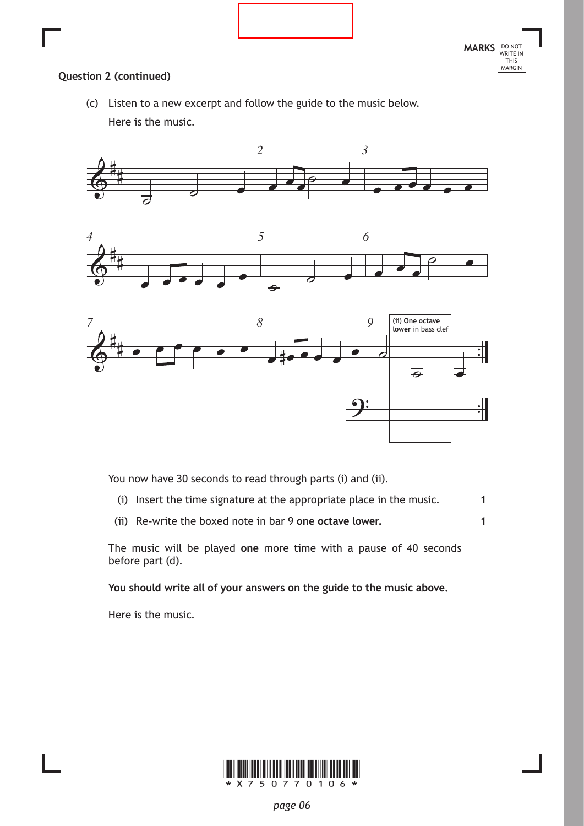

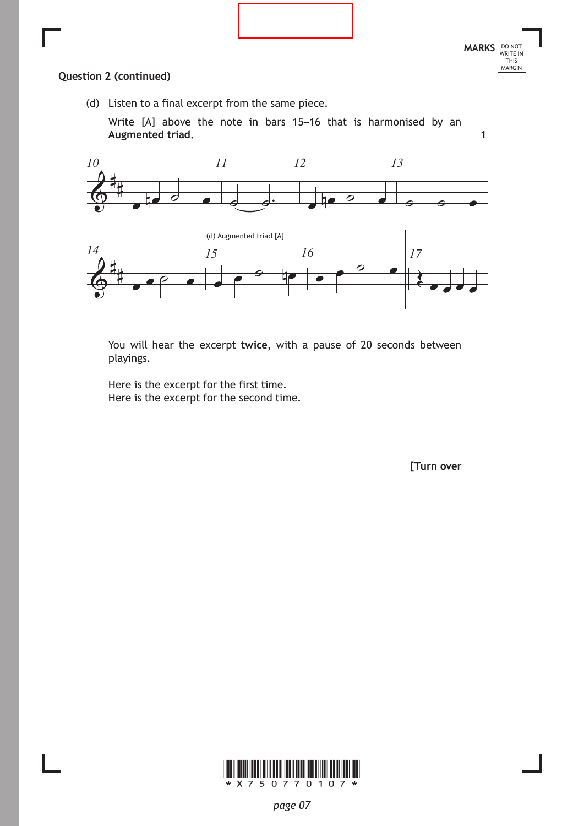![](_page_6_Figure_0.jpeg)

You will hear the excerpt **twice,** with a pause of 20 seconds between playings.

Here is the excerpt for the first time. Here is the excerpt for the second time.

**[Turn over**

![](_page_6_Picture_4.jpeg)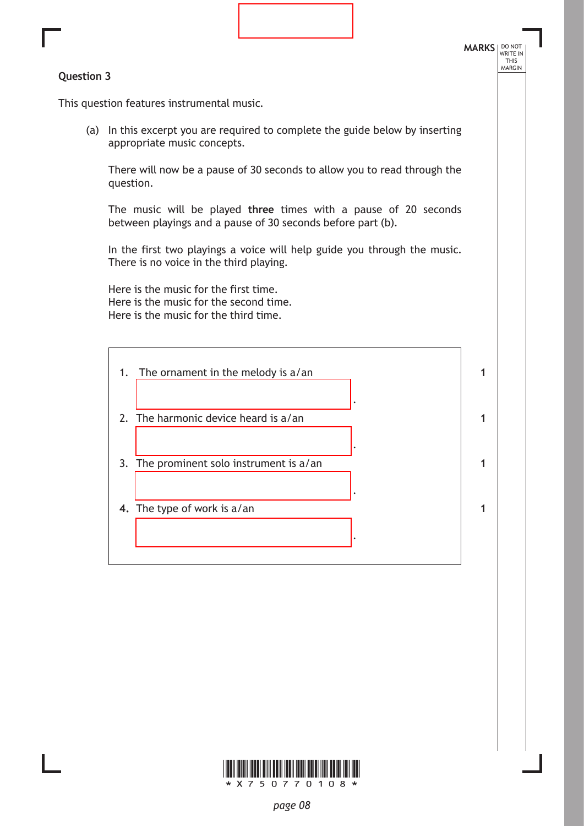#### **Question 3**

**MARKS** NO NOT THIS<br>MARGIN

This question features instrumental music.

(a) In this excerpt you are required to complete the guide below by inserting appropriate music concepts.

There will now be a pause of 30 seconds to allow you to read through the question.

The music will be played **three** times with a pause of 20 seconds between playings and a pause of 30 seconds before part (b).

In the first two playings a voice will help guide you through the music. There is no voice in the third playing.

Here is the music for the first time. Here is the music for the second time. Here is the music for the third time.

| 1. | The ornament in the melody is $a$ /an    |  |
|----|------------------------------------------|--|
|    | 2. The harmonic device heard is a/an     |  |
|    | 3. The prominent solo instrument is a/an |  |
|    | 4. The type of work is $a$ /an           |  |
|    |                                          |  |

![](_page_7_Picture_9.jpeg)

*page 08*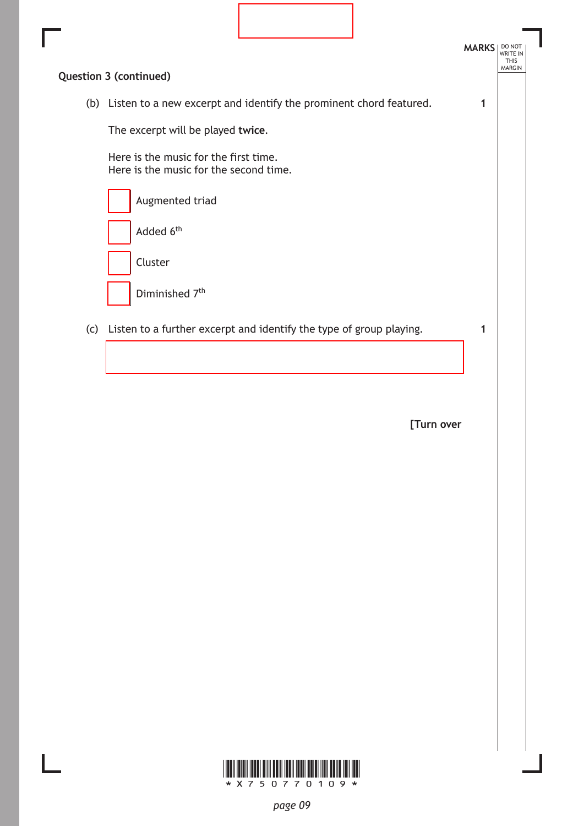|                                                                                 | <b>MARKS</b> | DO NOT<br><b>THIS</b><br><b>MARGIN</b> |
|---------------------------------------------------------------------------------|--------------|----------------------------------------|
| Question 3 (continued)                                                          |              |                                        |
| (b) Listen to a new excerpt and identify the prominent chord featured.          |              |                                        |
| The excerpt will be played twice.                                               |              |                                        |
| Here is the music for the first time.<br>Here is the music for the second time. |              |                                        |
| Augmented triad                                                                 |              |                                        |
| Added 6 <sup>th</sup>                                                           |              |                                        |
| Cluster                                                                         |              |                                        |
| Diminished 7 <sup>th</sup>                                                      |              |                                        |
| (c) Listen to a further excerpt and identify the type of group playing.         |              |                                        |
|                                                                                 |              |                                        |

Ī

![](_page_8_Picture_2.jpeg)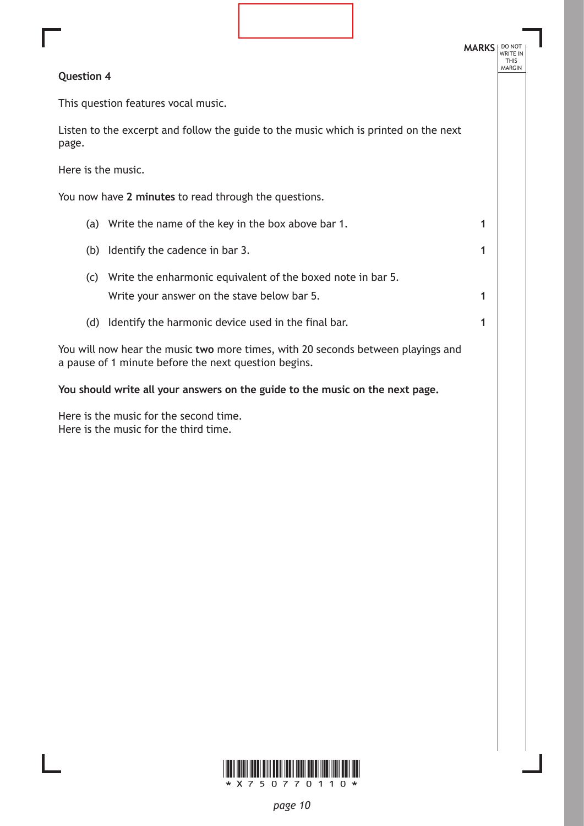|                    |                                                                                                                                          |  | <b>MARKS</b> | DO NO<br><b>WRITE IN</b><br><b>THIS</b><br><b>MARGIN</b> |  |
|--------------------|------------------------------------------------------------------------------------------------------------------------------------------|--|--------------|----------------------------------------------------------|--|
| <b>Question 4</b>  |                                                                                                                                          |  |              |                                                          |  |
|                    | This question features vocal music.                                                                                                      |  |              |                                                          |  |
| page.              | Listen to the excerpt and follow the guide to the music which is printed on the next                                                     |  |              |                                                          |  |
| Here is the music. |                                                                                                                                          |  |              |                                                          |  |
|                    | You now have 2 minutes to read through the questions.                                                                                    |  |              |                                                          |  |
|                    | (a) Write the name of the key in the box above bar 1.                                                                                    |  | 1            |                                                          |  |
| (b)                | Identify the cadence in bar 3.                                                                                                           |  | 1            |                                                          |  |
| (c)                | Write the enharmonic equivalent of the boxed note in bar 5.                                                                              |  |              |                                                          |  |
|                    | Write your answer on the stave below bar 5.                                                                                              |  | 1            |                                                          |  |
| (d)                | Identify the harmonic device used in the final bar.                                                                                      |  | 1            |                                                          |  |
|                    | You will now hear the music two more times, with 20 seconds between playings and<br>a pause of 1 minute before the next question begins. |  |              |                                                          |  |
|                    | You should write all your answers on the guide to the music on the next page.                                                            |  |              |                                                          |  |
|                    |                                                                                                                                          |  |              |                                                          |  |

Here is the music for the second time. Here is the music for the third time.

![](_page_9_Picture_2.jpeg)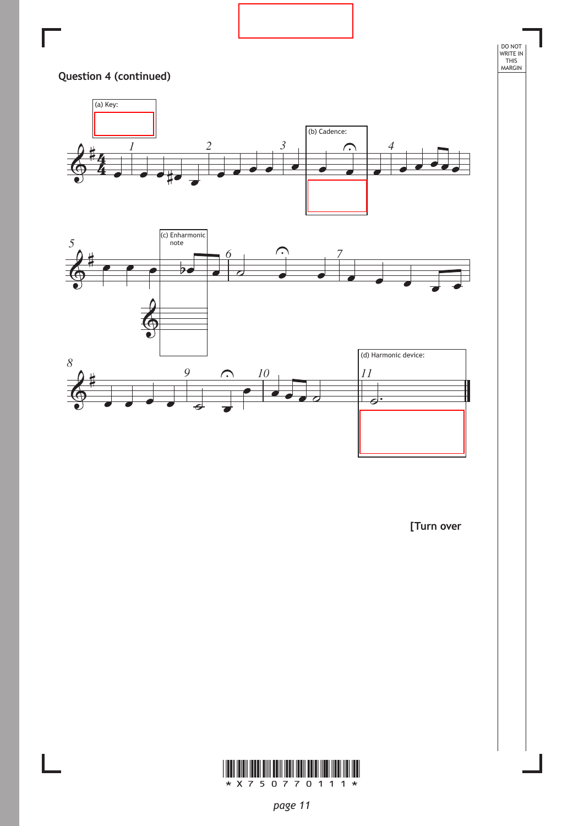![](_page_10_Figure_0.jpeg)

![](_page_10_Picture_2.jpeg)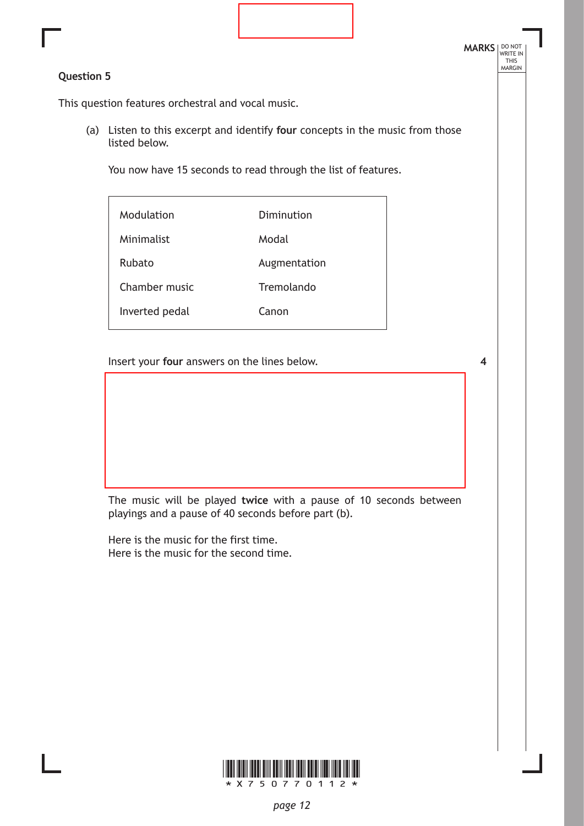## **Question 5**

This question features orchestral and vocal music.

(a) Listen to this excerpt and identify **four** concepts in the music from those listed below.

You now have 15 seconds to read through the list of features.

| Modulation     | Diminution   |
|----------------|--------------|
| Minimalist     | Modal        |
| Rubato         | Augmentation |
| Chamber music  | Tremolando   |
| Inverted pedal | Canon        |
|                |              |

Insert your **four** answers on the lines below.

**4**

**MARKS** NO NOT

THIS<br>MARGIN

The music will be played **twice** with a pause of 10 seconds between playings and a pause of 40 seconds before part (b).

Here is the music for the first time. Here is the music for the second time.

![](_page_11_Picture_10.jpeg)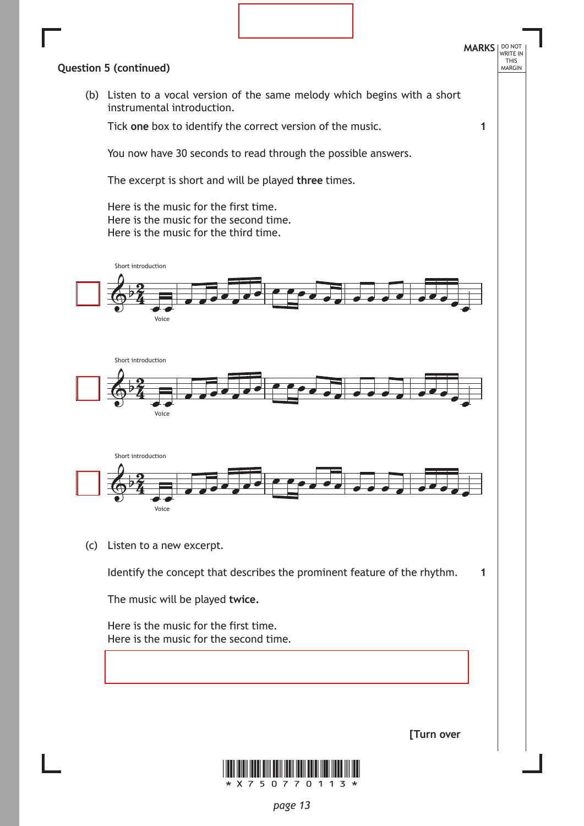![](_page_12_Figure_0.jpeg)

*page 13*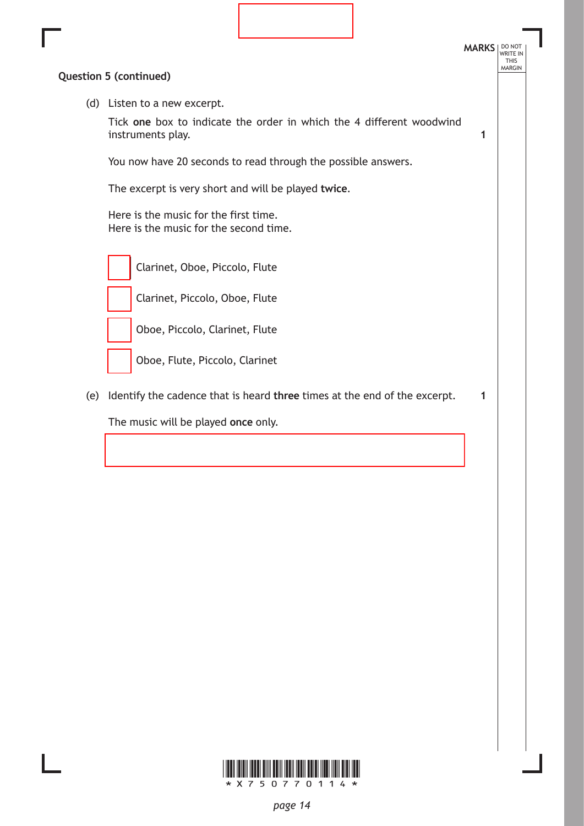![](_page_13_Figure_0.jpeg)

![](_page_13_Picture_1.jpeg)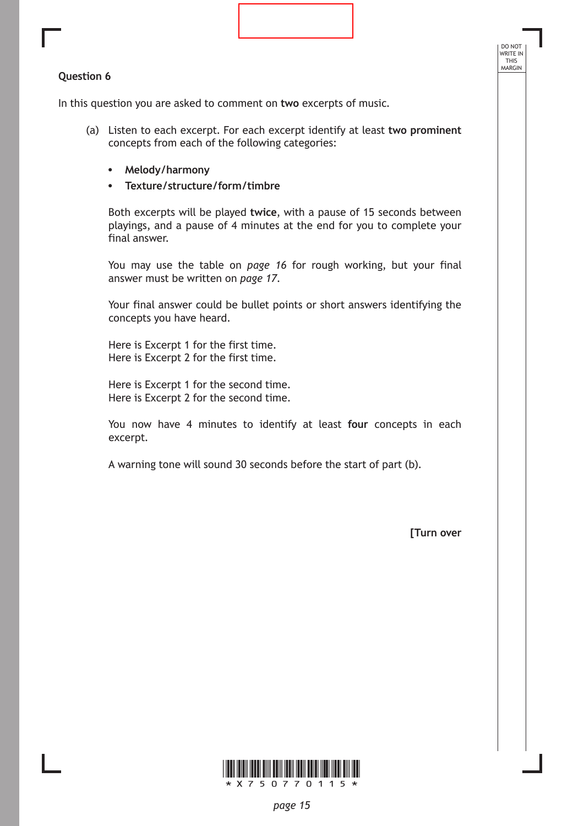#### **Question 6**

In this question you are asked to comment on **two** excerpts of music.

- (a) Listen to each excerpt. For each excerpt identify at least **two prominent**  concepts from each of the following categories:
	- **• Melody/harmony**
	- **• Texture/structure/form/timbre**

Both excerpts will be played **twice**, with a pause of 15 seconds between playings, and a pause of 4 minutes at the end for you to complete your final answer.

You may use the table on *page 16* for rough working, but your final answer must be written on *page 17*.

Your final answer could be bullet points or short answers identifying the concepts you have heard.

Here is Excerpt 1 for the first time. Here is Excerpt 2 for the first time.

Here is Excerpt 1 for the second time. Here is Excerpt 2 for the second time.

You now have 4 minutes to identify at least **four** concepts in each excerpt.

A warning tone will sound 30 seconds before the start of part (b).

**[Turn over**

DO NOT WRITE IN THIS<br>MARGIN

![](_page_14_Picture_13.jpeg)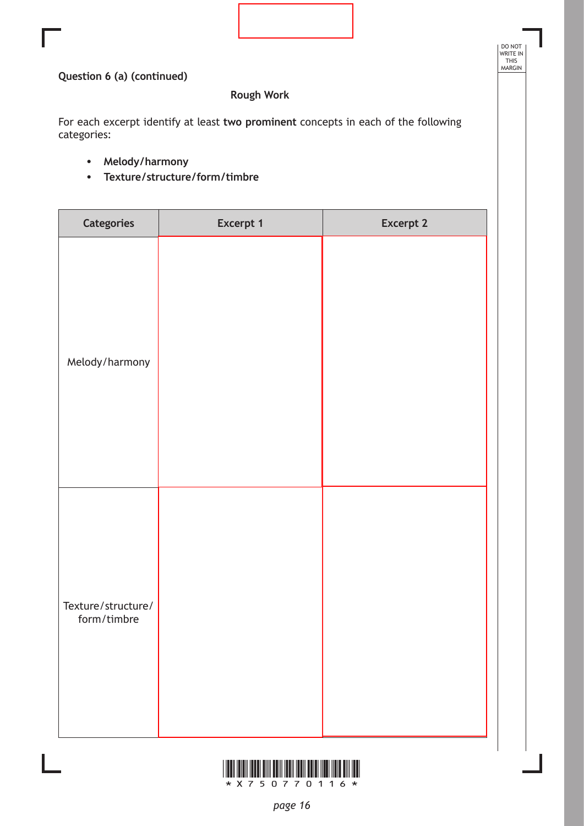DO NOT WRITE IN THIS MARGIN

## **Question 6 (a) (continued)**

# **Rough Work**

For each excerpt identify at least **two prominent** concepts in each of the following categories:

- **• Melody/harmony**
- **• Texture/structure/form/timbre**

| Categories                        | Excerpt 1 | <b>Excerpt 2</b> |
|-----------------------------------|-----------|------------------|
| Melody/harmony                    |           |                  |
| Texture/structure/<br>form/timbre |           |                  |

![](_page_15_Picture_7.jpeg)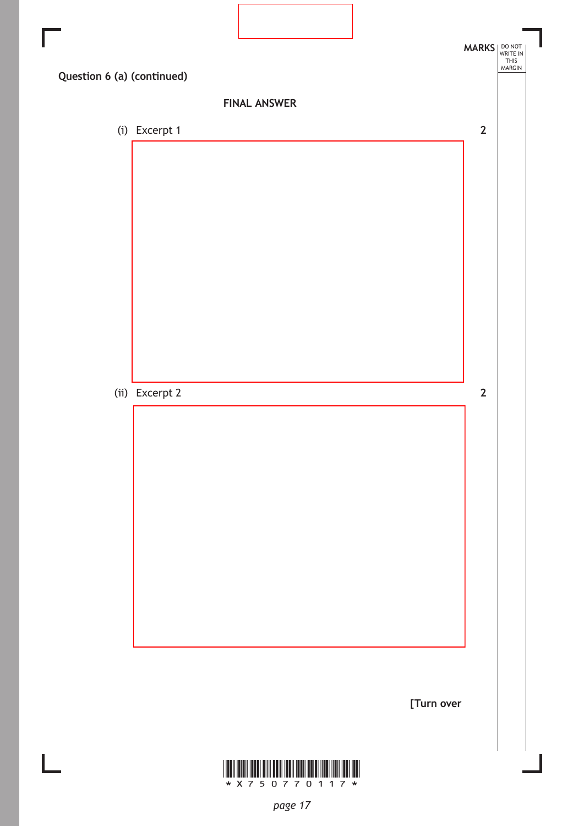![](_page_16_Figure_0.jpeg)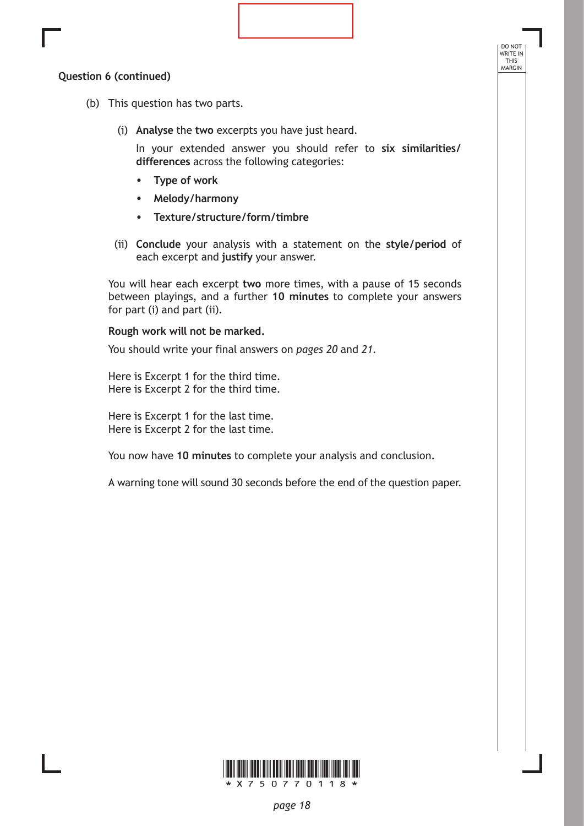### **Question 6 (continued)**

- (b) This question has two parts.
	- (i) **Analyse** the **two** excerpts you have just heard.

In your extended answer you should refer to **six similarities/ differences** across the following categories:

DO NOT WRITE IN THIS<br>MARGIN

- **• Type of work**
- **• Melody/harmony**
- **• Texture/structure/form/timbre**
- (ii) **Conclude** your analysis with a statement on the **style/period** of each excerpt and **justify** your answer.

You will hear each excerpt **two** more times, with a pause of 15 seconds between playings, and a further **10 minutes** to complete your answers for part (i) and part (ii).

#### **Rough work will not be marked.**

You should write your final answers on *pages 20* and *21*.

Here is Excerpt 1 for the third time. Here is Excerpt 2 for the third time.

Here is Excerpt 1 for the last time. Here is Excerpt 2 for the last time.

You now have **10 minutes** to complete your analysis and conclusion.

A warning tone will sound 30 seconds before the end of the question paper.

![](_page_17_Picture_15.jpeg)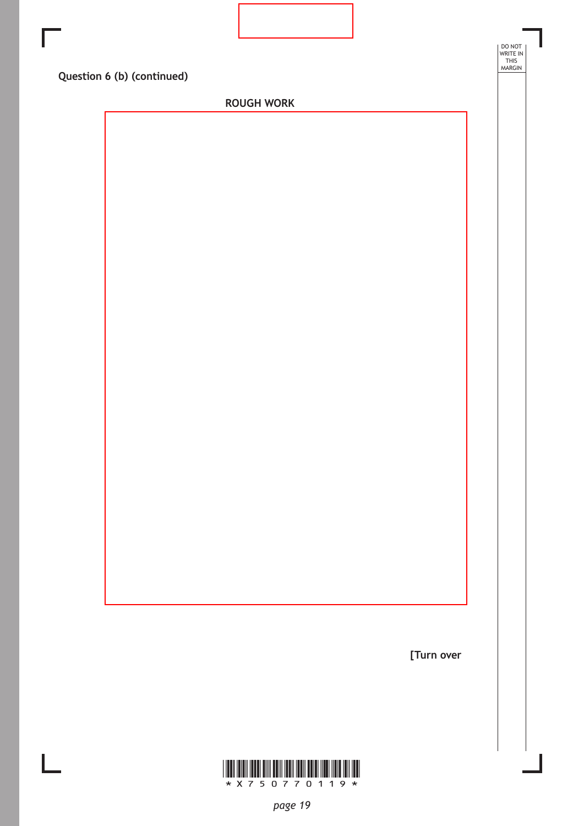| Г |                            |                            |        |
|---|----------------------------|----------------------------|--------|
|   |                            | DO NOT<br>WRITE IN<br>THIS | MARGIN |
|   | Question 6 (b) (continued) |                            |        |
|   | <b>ROUGH WORK</b>          |                            |        |
|   |                            |                            |        |
|   |                            |                            |        |
|   |                            |                            |        |
|   |                            |                            |        |
|   |                            |                            |        |
|   |                            |                            |        |
|   |                            |                            |        |
|   |                            |                            |        |
|   |                            |                            |        |
|   |                            |                            |        |
|   |                            |                            |        |
|   |                            |                            |        |
|   |                            |                            |        |
|   |                            |                            |        |
|   |                            |                            |        |
|   |                            |                            |        |
|   |                            |                            |        |
|   |                            |                            |        |
|   |                            |                            |        |
|   |                            |                            |        |
|   |                            |                            |        |
|   |                            |                            |        |
|   |                            |                            |        |
|   |                            |                            |        |
|   |                            |                            |        |

Ī

![](_page_18_Picture_2.jpeg)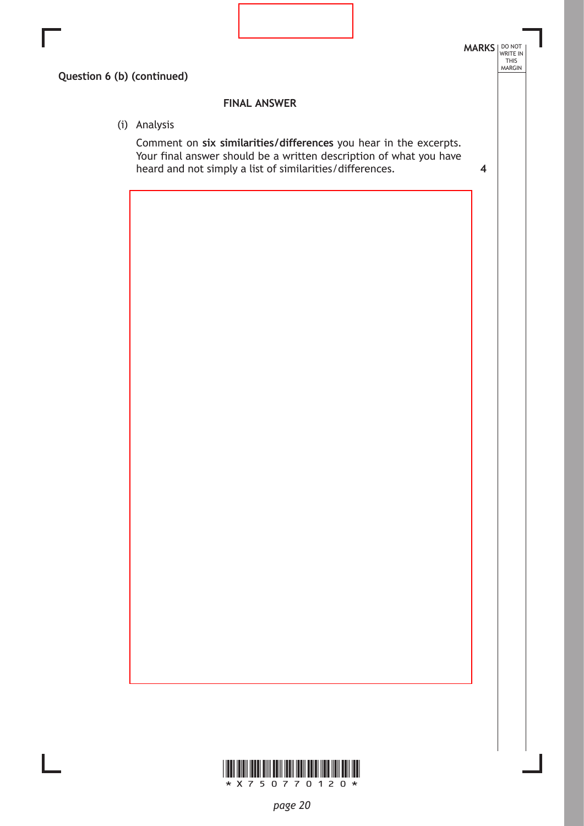![](_page_19_Figure_0.jpeg)

![](_page_19_Picture_1.jpeg)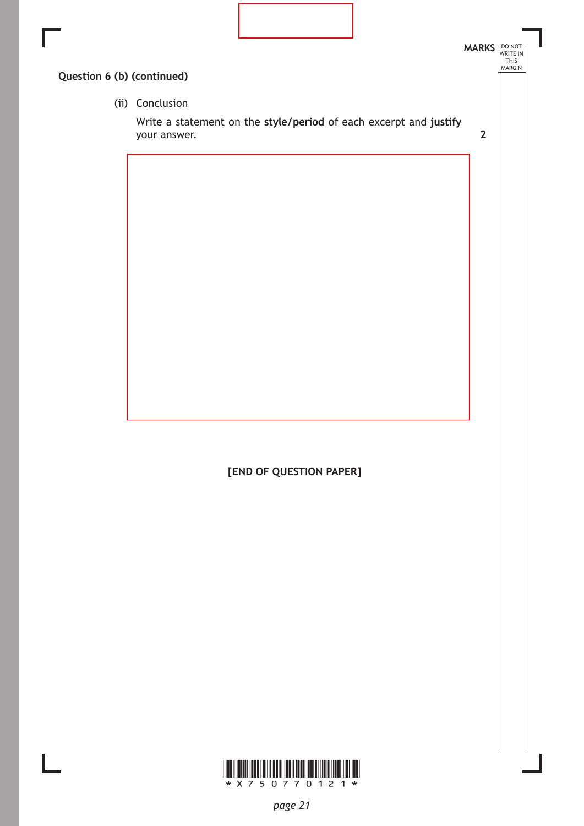![](_page_20_Picture_0.jpeg)

**[END OF QUESTION PAPER]**

![](_page_20_Picture_2.jpeg)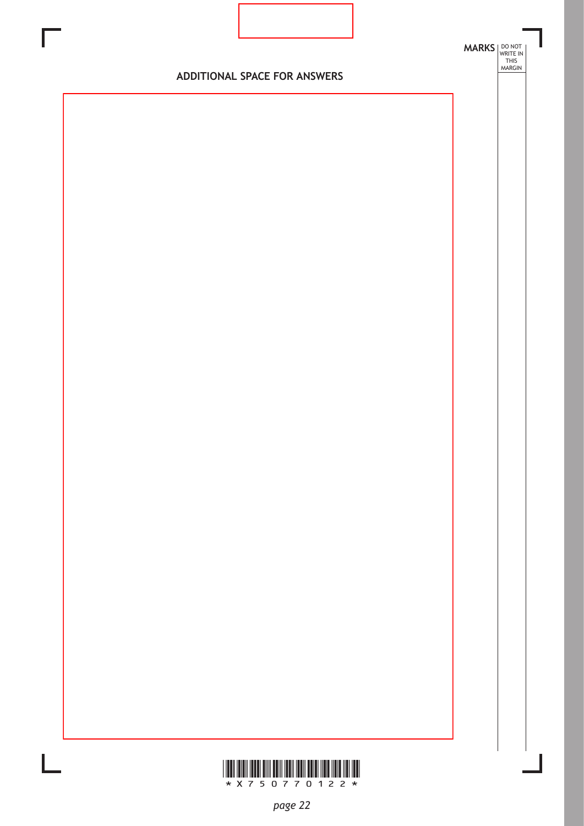![](_page_21_Figure_0.jpeg)

![](_page_21_Picture_1.jpeg)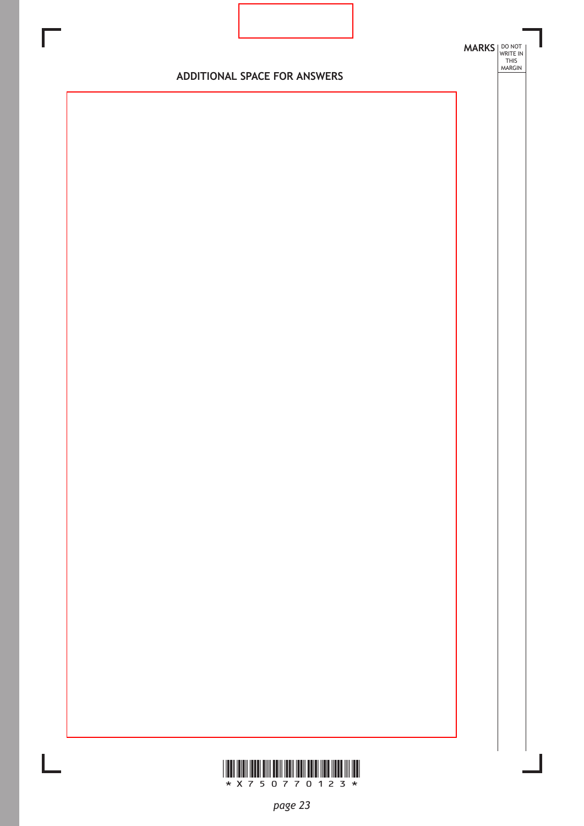![](_page_22_Figure_0.jpeg)

![](_page_22_Picture_1.jpeg)